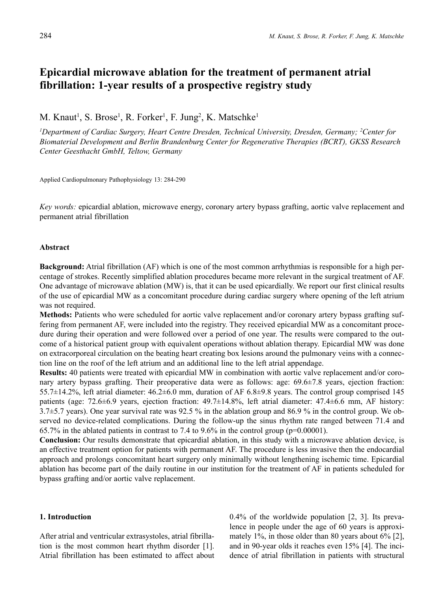# **Epicardial microwave ablation for the treatment of permanent atrial fibrillation: 1-year results of a prospective registry study**

M. Knaut<sup>1</sup>, S. Brose<sup>1</sup>, R. Forker<sup>1</sup>, F. Jung<sup>2</sup>, K. Matschke<sup>1</sup>

*1 Department of Cardiac Surgery, Heart Centre Dresden, Technical University, Dresden, Germany; 2 Center for Biomaterial Development and Berlin Brandenburg Center for Regenerative Therapies (BCRT), GKSS Research Center Geesthacht GmbH, Teltow, Germany*

Applied Cardiopulmonary Pathophysiology 13: 284-290

*Key words:* epicardial ablation, microwave energy, coronary artery bypass grafting, aortic valve replacement and permanent atrial fibrillation

#### **Abstract**

**Background:** Atrial fibrillation (AF) which is one of the most common arrhythmias is responsible for a high percentage of strokes. Recently simplified ablation procedures became more relevant in the surgical treatment of AF. One advantage of microwave ablation (MW) is, that it can be used epicardially. We report our first clinical results of the use of epicardial MW as a concomitant procedure during cardiac surgery where opening of the left atrium was not required.

**Methods:** Patients who were scheduled for aortic valve replacement and/or coronary artery bypass grafting suffering from permanent AF, were included into the registry. They received epicardial MW as a concomitant procedure during their operation and were followed over a period of one year. The results were compared to the outcome of a historical patient group with equivalent operations without ablation therapy. Epicardial MW was done on extracorporeal circulation on the beating heart creating box lesions around the pulmonary veins with a connection line on the roof of the left atrium and an additional line to the left atrial appendage.

**Results:** 40 patients were treated with epicardial MW in combination with aortic valve replacement and/or coronary artery bypass grafting. Their preoperative data were as follows: age: 69.6±7.8 years, ejection fraction: 55.7±14.2%, left atrial diameter: 46.2±6.0 mm, duration of AF 6.8±9.8 years. The control group comprised 145 patients (age: 72.6±6.9 years, ejection fraction: 49.7±14.8%, left atrial diameter: 47.4±6.6 mm, AF history: 3.7±5.7 years). One year survival rate was 92.5 % in the ablation group and 86.9 % in the control group. We observed no device-related complications. During the follow-up the sinus rhythm rate ranged between 71.4 and 65.7% in the ablated patients in contrast to 7.4 to 9.6% in the control group (p=0.00001).

**Conclusion:** Our results demonstrate that epicardial ablation, in this study with a microwave ablation device, is an effective treatment option for patients with permanent AF. The procedure is less invasive then the endocardial approach and prolongs concomitant heart surgery only minimally without lengthening ischemic time. Epicardial ablation has become part of the daily routine in our institution for the treatment of AF in patients scheduled for bypass grafting and/or aortic valve replacement.

## **1. Introduction**

After atrial and ventricular extrasystoles, atrial fibrillation is the most common heart rhythm disorder [1]. Atrial fibrillation has been estimated to affect about 0.4% of the worldwide population [2, 3]. Its prevalence in people under the age of 60 years is approximately 1%, in those older than 80 years about 6% [2], and in 90-year olds it reaches even 15% [4]. The incidence of atrial fibrillation in patients with structural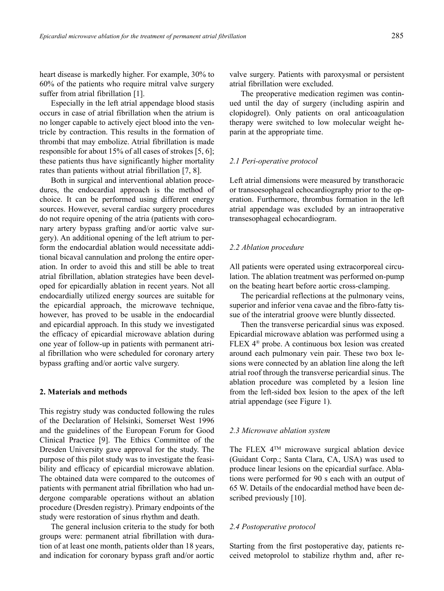heart disease is markedly higher. For example, 30% to 60% of the patients who require mitral valve surgery suffer from atrial fibrillation [1].

Especially in the left atrial appendage blood stasis occurs in case of atrial fibrillation when the atrium is no longer capable to actively eject blood into the ventricle by contraction. This results in the formation of thrombi that may embolize. Atrial fibrillation is made responsible for about 15% of all cases of strokes [5, 6]; these patients thus have significantly higher mortality rates than patients without atrial fibrillation [7, 8].

Both in surgical and interventional ablation procedures, the endocardial approach is the method of choice. It can be performed using different energy sources. However, several cardiac surgery procedures do not require opening of the atria (patients with coronary artery bypass grafting and/or aortic valve surgery). An additional opening of the left atrium to perform the endocardial ablation would necessitate additional bicaval cannulation and prolong the entire operation. In order to avoid this and still be able to treat atrial fibrillation, ablation strategies have been developed for epicardially ablation in recent years. Not all endocardially utilized energy sources are suitable for the epicardial approach, the microwave technique, however, has proved to be usable in the endocardial and epicardial approach. In this study we investigated the efficacy of epicardial microwave ablation during one year of follow-up in patients with permanent atrial fibrillation who were scheduled for coronary artery bypass grafting and/or aortic valve surgery.

### **2. Materials and methods**

This registry study was conducted following the rules of the Declaration of Helsinki, Somerset West 1996 and the guidelines of the European Forum for Good Clinical Practice [9]. The Ethics Committee of the Dresden University gave approval for the study. The purpose of this pilot study was to investigate the feasibility and efficacy of epicardial microwave ablation. The obtained data were compared to the outcomes of patients with permanent atrial fibrillation who had undergone comparable operations without an ablation procedure (Dresden registry). Primary endpoints of the study were restoration of sinus rhythm and death.

The general inclusion criteria to the study for both groups were: permanent atrial fibrillation with duration of at least one month, patients older than 18 years, and indication for coronary bypass graft and/or aortic valve surgery. Patients with paroxysmal or persistent atrial fibrillation were excluded.

The preoperative medication regimen was continued until the day of surgery (including aspirin and clopidogrel). Only patients on oral anticoagulation therapy were switched to low molecular weight heparin at the appropriate time.

#### *2.1 Peri-operative protocol*

Left atrial dimensions were measured by transthoracic or transoesophageal echocardiography prior to the operation. Furthermore, thrombus formation in the left atrial appendage was excluded by an intraoperative transesophageal echocardiogram.

## *2.2 Ablation procedure*

All patients were operated using extracorporeal circulation. The ablation treatment was performed on-pump on the beating heart before aortic cross-clamping.

The pericardial reflections at the pulmonary veins, superior and inferior vena cavae and the fibro-fatty tissue of the interatrial groove were bluntly dissected.

Then the transverse pericardial sinus was exposed. Epicardial microwave ablation was performed using a FLEX 4® probe. A continuous box lesion was created around each pulmonary vein pair. These two box lesions were connected by an ablation line along the left atrial roof through the transverse pericardial sinus. The ablation procedure was completed by a lesion line from the left-sided box lesion to the apex of the left atrial appendage (see Figure 1).

#### *2.3 Microwave ablation system*

The FLEX 4TM microwave surgical ablation device (Guidant Corp.; Santa Clara, CA, USA) was used to produce linear lesions on the epicardial surface. Ablations were performed for 90 s each with an output of 65 W. Details of the endocardial method have been described previously [10].

#### *2.4 Postoperative protocol*

Starting from the first postoperative day, patients received metoprolol to stabilize rhythm and, after re-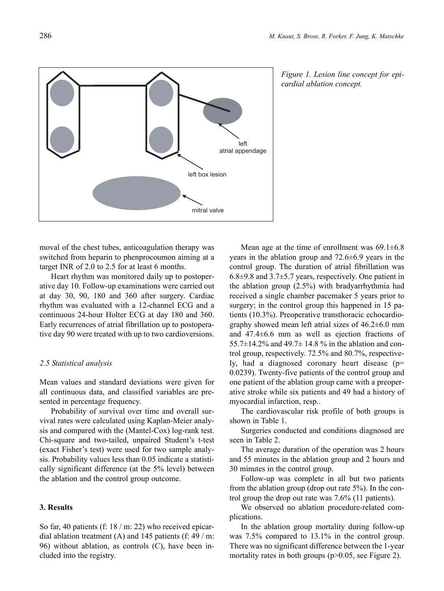

*Figure 1. Lesion line concept for epicardial ablation concept.*

moval of the chest tubes, anticoagulation therapy was switched from heparin to phenprocoumon aiming at a target INR of 2.0 to 2.5 for at least 6 months.

Heart rhythm was monitored daily up to postoperative day 10. Follow-up examinations were carried out at day 30, 90, 180 and 360 after surgery. Cardiac rhythm was evaluated with a 12-channel ECG and a continuous 24-hour Holter ECG at day 180 and 360. Early recurrences of atrial fibrillation up to postoperative day 90 were treated with up to two cardioversions.

# *2.5 Statistical analysis*

Mean values and standard deviations were given for all continuous data, and classified variables are presented in percentage frequency.

Probability of survival over time and overall survival rates were calculated using Kaplan-Meier analysis and compared with the (Mantel-Cox) log-rank test. Chi-square and two-tailed, unpaired Student's t-test (exact Fisher's test) were used for two sample analysis. Probability values less than 0.05 indicate a statistically significant difference (at the 5% level) between the ablation and the control group outcome.

# **3. Results**

So far, 40 patients (f: 18 / m: 22) who received epicardial ablation treatment (A) and 145 patients (f:  $49 / m$ : 96) without ablation, as controls (C), have been included into the registry.

Mean age at the time of enrollment was  $69.1 \pm 6.8$ years in the ablation group and 72.6±6.9 years in the control group. The duration of atrial fibrillation was 6.8±9.8 and 3.7±5.7 years, respectively. One patient in the ablation group (2.5%) with bradyarrhythmia had received a single chamber pacemaker 5 years prior to surgery; in the control group this happened in 15 patients (10.3%). Preoperative transthoracic echocardiography showed mean left atrial sizes of 46.2±6.0 mm and 47.4±6.6 mm as well as ejection fractions of 55.7 $\pm$ 14.2% and 49.7 $\pm$  14.8% in the ablation and control group, respectively. 72.5% and 80.7%, respectively, had a diagnosed coronary heart disease (p= 0.0239). Twenty-five patients of the control group and one patient of the ablation group came with a preoperative stroke while six patients and 49 had a history of myocardial infarction, resp..

The cardiovascular risk profile of both groups is shown in Table 1.

Surgeries conducted and conditions diagnosed are seen in Table 2.

The average duration of the operation was 2 hours and 55 minutes in the ablation group and 2 hours and 30 minutes in the control group.

Follow-up was complete in all but two patients from the ablation group (drop out rate 5%). In the control group the drop out rate was 7.6% (11 patients).

We observed no ablation procedure-related complications.

In the ablation group mortality during follow-up was 7.5% compared to 13.1% in the control group. There was no significant difference between the 1-year mortality rates in both groups (p>0.05, see Figure 2).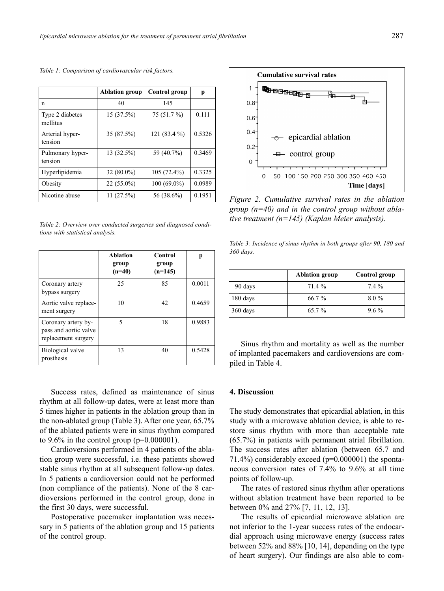|                             | <b>Ablation group</b> | Control group  | p      |
|-----------------------------|-----------------------|----------------|--------|
| n                           | 40                    | 145            |        |
| Type 2 diabetes<br>mellitus | 15 (37.5%)            | 75 (51.7 %)    | 0.111  |
| Arterial hyper-<br>tension  | 35 (87.5%)            | 121 $(83.4\%)$ | 0.5326 |
| Pulmonary hyper-<br>tension | 13 (32.5%)            | 59 (40.7%)     | 0.3469 |
| Hyperlipidemia              | $32(80.0\%)$          | $105(72.4\%)$  | 0.3325 |
| Obesity                     | $22(55.0\%)$          | $100(69.0\%)$  | 0.0989 |
| Nicotine abuse              | 11(27.5%)             | 56 (38.6%)     | 0.1951 |

*Table 1: Comparison of cardiovascular risk factors.*

*Table 2: Overview over conducted surgeries and diagnosed conditions with statistical analysis.*

|                                                                     | <b>Ablation</b><br>group<br>$(n=40)$ | Control<br>group<br>$(n=145)$ | р      |
|---------------------------------------------------------------------|--------------------------------------|-------------------------------|--------|
| Coronary artery<br>bypass surgery                                   | 25                                   | 85                            | 0.0011 |
| Aortic valve replace-<br>ment surgery                               | 10                                   | 42                            | 0.4659 |
| Coronary artery by-<br>pass and aortic valve<br>replacement surgery | 5                                    | 18                            | 0.9883 |
| Biological valve<br>prosthesis                                      | 13                                   | 40                            | 0.5428 |

Success rates, defined as maintenance of sinus rhythm at all follow-up dates, were at least more than 5 times higher in patients in the ablation group than in the non-ablated group (Table 3). After one year, 65.7% of the ablated patients were in sinus rhythm compared to  $9.6\%$  in the control group ( $p=0.000001$ ).

Cardioversions performed in 4 patients of the ablation group were successful, i.e. these patients showed stable sinus rhythm at all subsequent follow-up dates. In 5 patients a cardioversion could not be performed (non compliance of the patients). None of the 8 cardioversions performed in the control group, done in the first 30 days, were successful.

Postoperative pacemaker implantation was necessary in 5 patients of the ablation group and 15 patients of the control group.



*Figure 2. Cumulative survival rates in the ablation group (n=40) and in the control group without ablative treatment (n=145) (Kaplan Meier analysis).*

*Table 3: Incidence of sinus rhythm in both groups after 90, 180 and 360 days.*

|          | <b>Ablation group</b> | Control group |
|----------|-----------------------|---------------|
| 90 days  | 71.4%                 | 74%           |
| 180 days | 66.7%                 | $8.0\%$       |
| 360 days | 65.7%                 | $9.6\%$       |

Sinus rhythm and mortality as well as the number of implanted pacemakers and cardioversions are compiled in Table 4.

#### **4. Discussion**

The study demonstrates that epicardial ablation, in this study with a microwave ablation device, is able to restore sinus rhythm with more than acceptable rate (65.7%) in patients with permanent atrial fibrillation. The success rates after ablation (between 65.7 and 71.4%) considerably exceed  $(p=0.000001)$  the spontaneous conversion rates of 7.4% to 9.6% at all time points of follow-up.

The rates of restored sinus rhythm after operations without ablation treatment have been reported to be between 0% and 27% [7, 11, 12, 13].

The results of epicardial microwave ablation are not inferior to the 1-year success rates of the endocardial approach using microwave energy (success rates between 52% and 88% [10, 14], depending on the type of heart surgery). Our findings are also able to com-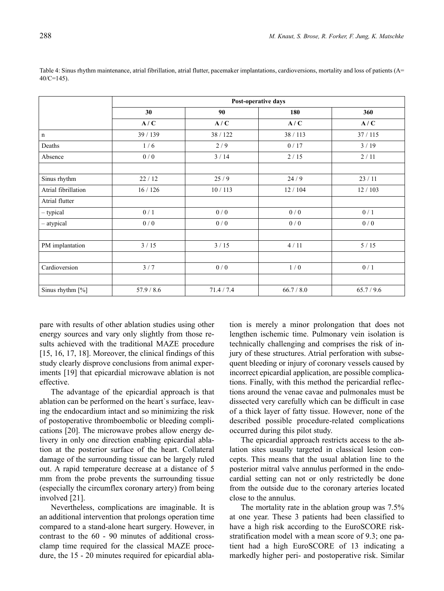| $2=145$ ). | le 4: Sinus rhythm maintenance, atrial fibrillation, atrial flutter, pacemaker implantations, cardioversion |    |     |
|------------|-------------------------------------------------------------------------------------------------------------|----|-----|
|            | Post-operative days                                                                                         |    |     |
|            | 30                                                                                                          | 90 | 180 |

Table 4: Sinus rhythm maintenance, atrial fibrillation, atrial flutter, pacemaker implantations, cardioversions, mortality and loss of patients (A=  $40/$ 

|                     | 30         | 90         | 180        | 360        |
|---------------------|------------|------------|------------|------------|
|                     | A/C        | A/C        | A/C        | A/C        |
| $\mathbf n$         | 39 / 139   | 38 / 122   | 38 / 113   | 37/115     |
| Deaths              | 1/6        | 2/9        | 0/17       | 3/19       |
| Absence             | 0/0        | 3/14       | 2/15       | 2/11       |
|                     |            |            |            |            |
| Sinus rhythm        | 22/12      | 25/9       | 24/9       | 23/11      |
| Atrial fibrillation | 16/126     | 10/113     | 12/104     | 12/103     |
| Atrial flutter      |            |            |            |            |
| $-$ typical         | 0/1        | 0/0        | 0/0        | 0/1        |
| - atypical          | 0/0        | 0/0        | 0/0        | 0/0        |
|                     |            |            |            |            |
| PM implantation     | 3/15       | $3/15$     | 4/11       | 5/15       |
|                     |            |            |            |            |
| Cardioversion       | 3/7        | 0/0        | 1/0        | 0/1        |
|                     |            |            |            |            |
| Sinus rhythm [%]    | 57.9 / 8.6 | 71.4 / 7.4 | 66.7 / 8.0 | 65.7 / 9.6 |

pare with results of other ablation studies using other energy sources and vary only slightly from those results achieved with the traditional MAZE procedure [15, 16, 17, 18]. Moreover, the clinical findings of this study clearly disprove conclusions from animal experiments [19] that epicardial microwave ablation is not effective.

The advantage of the epicardial approach is that ablation can be performed on the heart`s surface, leaving the endocardium intact and so minimizing the risk of postoperative thromboembolic or bleeding complications [20]. The microwave probes allow energy delivery in only one direction enabling epicardial ablation at the posterior surface of the heart. Collateral damage of the surrounding tissue can be largely ruled out. A rapid temperature decrease at a distance of 5 mm from the probe prevents the surrounding tissue (especially the circumflex coronary artery) from being involved [21].

Nevertheless, complications are imaginable. It is an additional intervention that prolongs operation time compared to a stand-alone heart surgery. However, in contrast to the 60 - 90 minutes of additional crossclamp time required for the classical MAZE procedure, the 15 - 20 minutes required for epicardial ablation is merely a minor prolongation that does not lengthen ischemic time. Pulmonary vein isolation is technically challenging and comprises the risk of injury of these structures. Atrial perforation with subsequent bleeding or injury of coronary vessels caused by incorrect epicardial application, are possible complications. Finally, with this method the pericardial reflections around the venae cavae and pulmonales must be dissected very carefully which can be difficult in case of a thick layer of fatty tissue. However, none of the described possible procedure-related complications occurred during this pilot study.

The epicardial approach restricts access to the ablation sites usually targeted in classical lesion concepts. This means that the usual ablation line to the posterior mitral valve annulus performed in the endocardial setting can not or only restrictedly be done from the outside due to the coronary arteries located close to the annulus.

The mortality rate in the ablation group was 7.5% at one year. These 3 patients had been classified to have a high risk according to the EuroSCORE riskstratification model with a mean score of 9.3; one patient had a high EuroSCORE of 13 indicating a markedly higher peri- and postoperative risk. Similar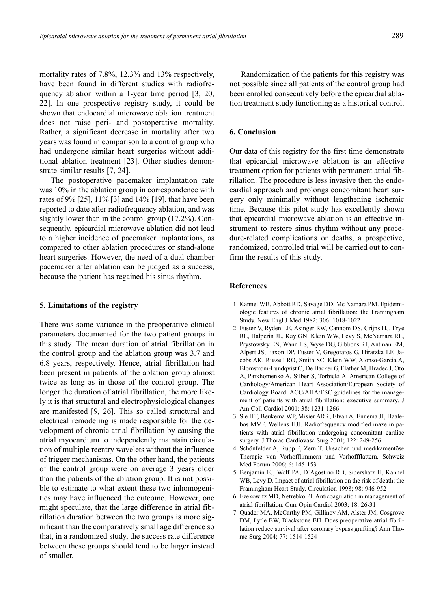mortality rates of 7.8%, 12.3% and 13% respectively, have been found in different studies with radiofrequency ablation within a 1-year time period [3, 20, 22]. In one prospective registry study, it could be shown that endocardial microwave ablation treatment does not raise peri- and postoperative mortality. Rather, a significant decrease in mortality after two years was found in comparison to a control group who had undergone similar heart surgeries without additional ablation treatment [23]. Other studies demonstrate similar results [7, 24].

The postoperative pacemaker implantation rate was 10% in the ablation group in correspondence with rates of 9% [25], 11% [3] and 14% [19], that have been reported to date after radiofrequency ablation, and was slightly lower than in the control group (17.2%). Consequently, epicardial microwave ablation did not lead to a higher incidence of pacemaker implantations, as compared to other ablation procedures or stand-alone heart surgeries. However, the need of a dual chamber pacemaker after ablation can be judged as a success, because the patient has regained his sinus rhythm.

## **5. Limitations of the registry**

There was some variance in the preoperative clinical parameters documented for the two patient groups in this study. The mean duration of atrial fibrillation in the control group and the ablation group was 3.7 and 6.8 years, respectively. Hence, atrial fibrillation had been present in patients of the ablation group almost twice as long as in those of the control group. The longer the duration of atrial fibrillation, the more likely it is that structural and electrophysiological changes are manifested [9, 26]. This so called structural and electrical remodeling is made responsible for the development of chronic atrial fibrillation by causing the atrial myocardium to independently maintain circulation of multiple reentry wavelets without the influence of trigger mechanisms. On the other hand, the patients of the control group were on average 3 years older than the patients of the ablation group. It is not possible to estimate to what extent these two inhomogenities may have influenced the outcome. However, one might speculate, that the large difference in atrial fibrillation duration between the two groups is more significant than the comparatively small age difference so that, in a randomized study, the success rate difference between these groups should tend to be larger instead of smaller.

Randomization of the patients for this registry was not possible since all patients of the control group had been enrolled consecutively before the epicardial ablation treatment study functioning as a historical control.

# **6. Conclusion**

Our data of this registry for the first time demonstrate that epicardial microwave ablation is an effective treatment option for patients with permanent atrial fibrillation. The procedure is less invasive then the endocardial approach and prolongs concomitant heart surgery only minimally without lengthening ischemic time. Because this pilot study has excellently shown that epicardial microwave ablation is an effective instrument to restore sinus rhythm without any procedure-related complications or deaths, a prospective, randomized, controlled trial will be carried out to confirm the results of this study.

### **References**

- 1. Kannel WB, Abbott RD, Savage DD, Mc Namara PM. Epidemiologic features of chronic atrial fibrillation: the Framingham Study. New Engl J Med 1982; 306: 1018-1022
- 2. Fuster V, Ryden LE, Asinger RW, Cannom DS, Crijns HJ, Frye RL, Halperin JL, Kay GN, Klein WW, Levy S, McNamara RL, Prystowsky EN, Wann LS, Wyse DG, Gibbons RJ, Antman EM, Alpert JS, Faxon DP, Fuster V, Gregoratos G, Hiratzka LF, Jacobs AK, Russell RO, Smith SC, Klein WW, Alonso-Garcia A, Blomstrom-Lundqvist C, De Backer G, Flather M, Hradec J, Oto A, Parkhomenko A, Silber S, Torbicki A. American College of Cardiology/American Heart Association/European Society of Cardiology Board: ACC/AHA/ESC guidelines for the management of patients with atrial fibrillation: executive summary. J Am Coll Cardiol 2001; 38: 1231-1266
- 3. Sie HT, Beukema WP, Misier ARR, Elvan A, Ennema JJ, Haalebos MMP, Wellens HJJ. Radiofrequency modified maze in patients with atrial fibrillation undergoing concomitant cardiac surgery. J Thorac Cardiovasc Surg 2001; 122: 249-256
- 4. Schönfelder A, Rupp P, Zern T. Ursachen und medikamentöse Therapie von Vorhofflimmern und Vorhoffflattern. Schweiz Med Forum 2006; 6: 145-153
- 5. Benjamin EJ, Wolf PA, D´Agostino RB, Sibershatz H, Kannel WB, Levy D. Impact of atrial fibrillation on the risk of death: the Framingham Heart Study. Circulation 1998; 98: 946-952
- 6. Ezekowitz MD, Netrebko PI. Anticoagulation in management of atrial fibrillation. Curr Opin Cardiol 2003; 18: 26-31
- 7. Quader MA, McCarthy PM, Gillinov AM, Alster JM, Cosgrove DM, Lytle BW, Blackstone EH. Does preoperative atrial fibrillation reduce survival after coronary bypass grafting? Ann Thorac Surg 2004; 77: 1514-1524